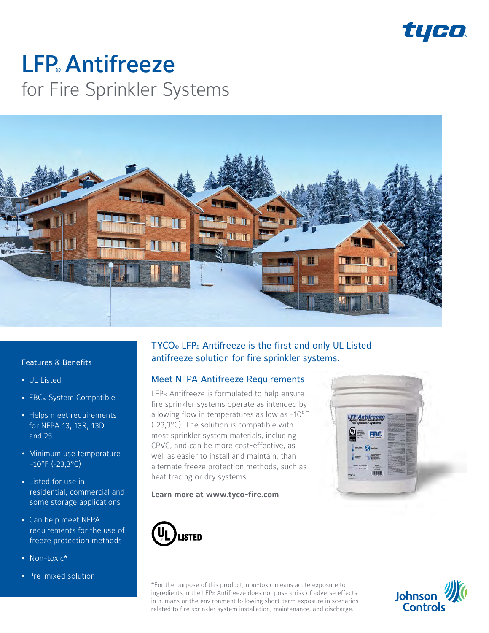

# **LFP** Antifreeze for Fire Sprinkler Systems



#### Features & Benefits

- UL Listed
- FBC<sub>™</sub> System Compatible
- Helps meet requirements for NFPA 13, 13R, 13D and 25
- Minimum use temperature  $-10^{\circ}$ F (-23,3°C)
- Listed for use in residential, commercial and some storage applications
- Can help meet NFPA requirements for the use of freeze protection methods
- Non-toxic\*
- Pre-mixed solution

# TYCO® LFP® Antifreeze is the first and only UL Listed antifreeze solution for fire sprinkler systems.

### Meet NFPA Antifreeze Requirements

LFP<sup>®</sup> Antifreeze is formulated to help ensure fire sprinkler systems operate as intended by allowing flow in temperatures as low as -10°F (-23,3°C). The solution is compatible with most sprinkler system materials, including CPVC, and can be more cost-effective, as well as easier to install and maintain, than alternate freeze protection methods, such as heat tracing or dry systems.

#### **Learn more at www.tyco-fire.com**





\*For the purpose of this product, non-toxic means acute exposure to ingredients in the LFP® Antifreeze does not pose a risk of adverse effects in humans or the environment following short-term exposure in scenarios related to fire sprinkler system installation, maintenance, and discharge.